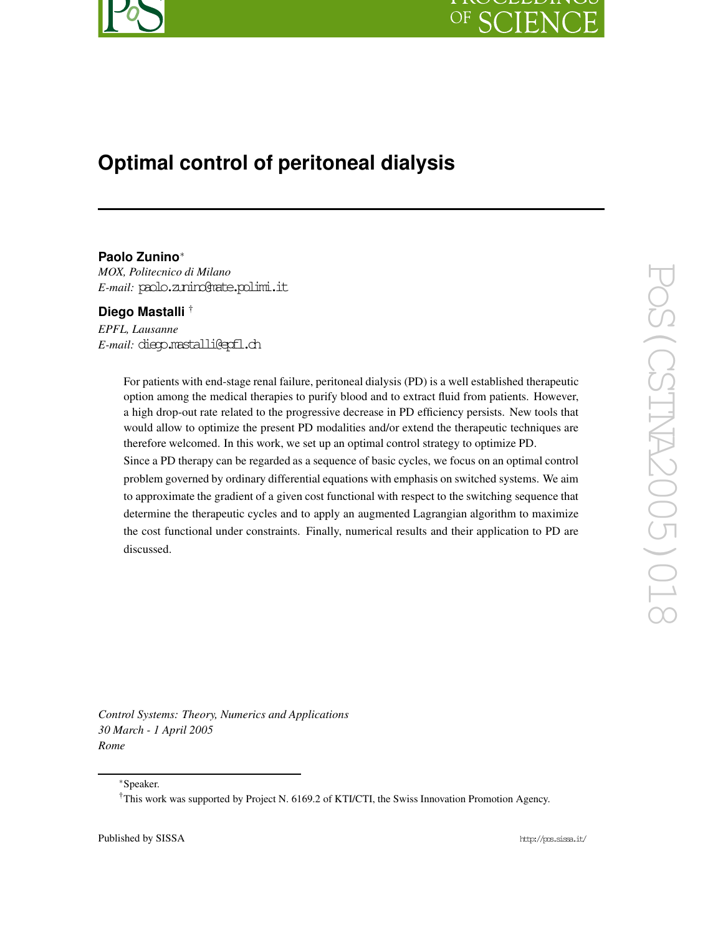

# **Optimal control of peritoneal dialysis**

# **Paolo Zunino**<sup>∗</sup>

*MOX, Politecnico di Milano E-mail:* paolo.zunino@mate.polimi.it

## **Diego Mastalli** †

*EPFL, Lausanne E-mail:* diego.mastalli@epfl.ch

> For patients with end-stage renal failure, peritoneal dialysis (PD) is a well established therapeutic option among the medical therapies to purify blood and to extract fluid from patients. However, a high drop-out rate related to the progressive decrease in PD efficiency persists. New tools that would allow to optimize the present PD modalities and/or extend the therapeutic techniques are therefore welcomed. In this work, we set up an optimal control strategy to optimize PD.

> Since a PD therapy can be regarded as a sequence of basic cycles, we focus on an optimal control problem governed by ordinary differential equations with emphasis on switched systems. We aim to approximate the gradient of a given cost functional with respect to the switching sequence that determine the therapeutic cycles and to apply an augmented Lagrangian algorithm to maximize the cost functional under constraints. Finally, numerical results and their application to PD are discussed.

*Control Systems: Theory, Numerics and Applications 30 March - 1 April 2005 Rome*

<sup>∗</sup>Speaker.

<sup>†</sup>This work was supported by Project N. 6169.2 of KTI/CTI, the Swiss Innovation Promotion Agency.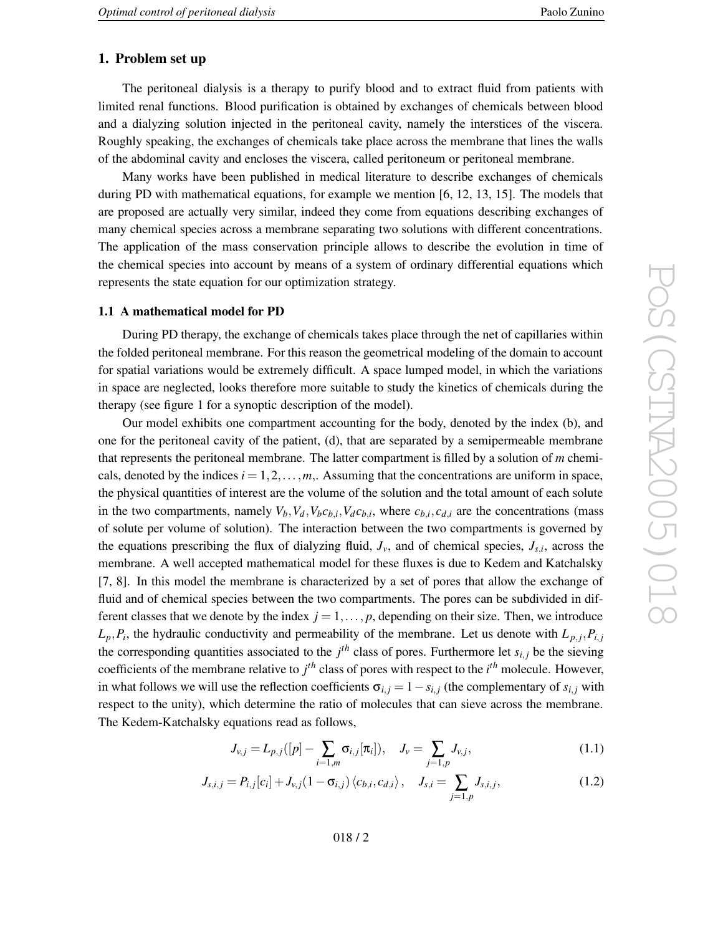#### **1. Problem set up**

The peritoneal dialysis is a therap y to purify blood and to extract fluid from patients with limited renal functions. Blood purification is obtained by exchanges of chemicals between blood and a dialyzing solution injected in the peritoneal cavity , namely the interstices of the viscera. Roughly speaking, the exchanges of chemicals tak e place across the membrane that lines the walls of the abdominal cavity and encloses the viscera, called peritoneum or peritoneal membrane.

Man y works hav e been published in medical literature to describe exchanges of chemicals during PD with mathematical equations, for example we mention [6, 12, 13, 15]. The models that are proposed are actually very similar, indeed the y come from equations describing exchanges of man y chemical species across a membrane separating tw o solutions with different concentrations. The application of the mass conservation principle allows to describe the evolution in time of the chemical species into account by means of a system of ordinary differential equations which represents the state equation for our optimization strategy .

#### **1.1 A mathematical model for PD**

During PD therap y , the exchange of chemicals takes place through the net of capillaries within the folded peritoneal membrane. For this reason the geometrical modeling of the domain to account for spatial variations would be extremely difficult. A space lumped model, in which the variations in space are neglected, looks therefore more suitable to study the kinetics of chemicals during the therap y (see figure 1 for a synoptic description of the model).

Our model exhibits one compartment accounting for the body , denoted by the inde x (b), and one for the peritoneal cavity of the patient, (d), that are separated by a semipermeable membrane that represents the peritoneal membrane. The latter compartment is filled by a solution of *m* chemicals, denoted by the indices  $i = 1, 2, \ldots, m$ ,. Assuming that the concentrations are uniform in space, the physical quantities of interest are the volume of the solution and the total amount of each solute in the two compartments, namely  $V_b$ ,  $V_d$ ,  $V_b c_{b,i}$ ,  $V_d c_{b,i}$ , where  $c_{b,i}$ ,  $c_{d,i}$  are the concentrations (mass of solute per volume of solution). The interaction between the tw o compartments is go verned by the equations prescribing the flux of dialyzing fluid,  $J_v$ , and of chemical species,  $J_{s,i}$ , across the membrane. A well accepted mathematical model for these fluxes is due to Kedem and Katchalsky [7, 8]. In this model the membrane is characterized by a set of pores that allow the exchange of fluid and of chemical species between the two compartments. The pores can be subdivided in different classes that we denote by the index  $j = 1, \ldots, p$ , depending on their size. Then, we introduce  $L_p$ ,  $P_i$ , the hydraulic conductivity and permeability of the membrane. Let us denote with  $L_{p,i}$ ,  $P_{i,j}$ the corresponding quantities associated to the  $j<sup>th</sup>$  class of pores. Furthermore let  $s_{i,j}$  be the sieving coefficients of the membrane relative to  $j<sup>th</sup>$  class of pores with respect to the  $i<sup>th</sup>$  molecule. However, in what follows we will use the reflection coefficients  $\sigma_{i,j} = 1 - s_{i,j}$  (the complementary of  $s_{i,j}$  with respect to the unity), which determine the ratio of molecules that can sieve across the membrane. The Kedem-Katchalsky equations read as follows,

$$
J_{\nu,j} = L_{p,j}([p] - \sum_{i=1,m} \sigma_{i,j}[\pi_i]), \quad J_{\nu} = \sum_{j=1,p} J_{\nu,j}, \tag{1.1}
$$

$$
J_{s,i,j} = P_{i,j}[c_i] + J_{v,j}(1 - \sigma_{i,j}) \langle c_{b,i}, c_{d,i} \rangle, \quad J_{s,i} = \sum_{j=1,p} J_{s,i,j},
$$
(1.2)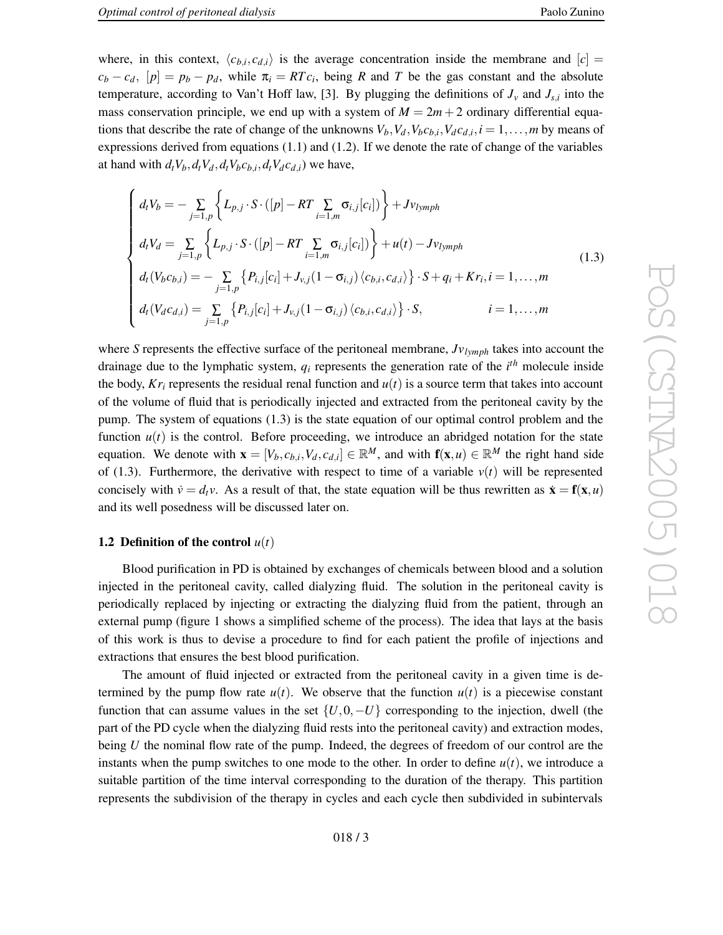where, in this context,  $\langle c_{b,i}, c_{d,i} \rangle$  is the average concentration inside the membrane and  $[c]$  =  $c_b - c_d$ ,  $[p] = p_b - p_d$ , while  $\pi_i = RTc_i$ , being *R* and *T* be the gas constant and the absolute temperature, according to Van't Hoff law, [3]. By plugging the definitions of  $J_v$  and  $J_{s,i}$  into the mass conservation principle, we end up with a system of  $M = 2m + 2$  ordinary differential equations that describe the rate of change of the unknowns  $V_b$ ,  $V_d$ ,  $V_b c_{b,i}$ ,  $V_d c_{d,i}$ ,  $i = 1, \ldots, m$  by means of expressions derived from equations  $(1.1)$  and  $(1.2)$ . If we denote the rate of change of the variables at hand with  $d_t V_b$ ,  $d_t V_d$ ,  $d_t V_b c_{b,i}$ ,  $d_t V_d c_{d,i}$  we have,

$$
\begin{cases}\nd_{t}V_{b} = -\sum_{j=1,p} \left\{ L_{p,j} \cdot S \cdot ([p] - RT \sum_{i=1,m} \sigma_{i,j}[c_{i}]) \right\} + Jv_{lymph} \\
d_{t}V_{d} = \sum_{j=1,p} \left\{ L_{p,j} \cdot S \cdot ([p] - RT \sum_{i=1,m} \sigma_{i,j}[c_{i}]) \right\} + u(t) - Jv_{lymph} \\
d_{t}(V_{b}c_{b,i}) = -\sum_{j=1,p} \left\{ P_{i,j}[c_{i}] + J_{v,j}(1 - \sigma_{i,j}) \left\langle c_{b,i}, c_{d,i} \right\rangle \right\} \cdot S + q_{i} + Kr_{i}, i = 1, ..., m \\
d_{t}(V_{d}c_{d,i}) = \sum_{j=1,p} \left\{ P_{i,j}[c_{i}] + J_{v,j}(1 - \sigma_{i,j}) \left\langle c_{b,i}, c_{d,i} \right\rangle \right\} \cdot S, \qquad i = 1, ..., m\n\end{cases}
$$
\n(1.3)

where S represents the effective surface of the peritoneal membrane,  $Jv_{lymph}$  takes into account the drainage due to the lymphatic system,  $q_i$  represents the generation rate of the  $i^{th}$  molecule inside the body,  $Kr_i$  represents the residual renal function and  $u(t)$  is a source term that takes into account of the volume of fluid that is periodically injected and extracted from the peritoneal cavity by the pump. The system of equations (1.3) is the state equation of our optimal control problem and the function  $u(t)$  is the control. Before proceeding, we introduce an abridged notation for the state equation. We denote with  $\mathbf{x} = [V_b, c_{b,i}, V_d, c_{d,i}] \in \mathbb{R}^M$ , and with  $\mathbf{f}(\mathbf{x}, u) \in \mathbb{R}^M$  the right hand side of (1.3). Furthermore, the derivative with respect to time of a variable  $v(t)$  will be represented concisely with  $\dot{v} = d_t v$ . As a result of that, the state equation will be thus rewritten as  $\dot{\mathbf{x}} = \mathbf{f}(\mathbf{x}, u)$ and its well posedness will be discussed later on.

#### **1.2 Definition of the control**  $u(t)$

Blood purification in PD is obtained by exchanges of chemicals between blood and a solution injected in the peritoneal cavity , called dialyzing fluid. The solution in the peritoneal cavity is periodically replaced by injecting or extracting the dialyzing fluid from the patient, through an external pump (figure 1 shows a simplified scheme of the process). The idea that lays at the basis of this work is thus to devise a procedure to find for each patient the profile of injections and extractions that ensures the best blood purification.

The amount of fluid injected or extracted from the peritoneal cavity in a given time is determined by the pump flow rate  $u(t)$ . We observe that the function  $u(t)$  is a piecewise constant function that can assume values in the set  $\{U, 0, -U\}$  corresponding to the injection, dwell (the part of the PD cycle when the dialyzing fluid rests into the peritoneal cavity) and extraction modes, being U the nominal flow rate of the pump. Indeed, the degrees of freedom of our control are the instants when the pump switches to one mode to the other. In order to define  $u(t)$ , we introduce a suitable partition of the time interval corresponding to the duration of the therapy. This partition represents the subdivision of the therapy in cycles and each cycle then subdivided in subintervals

$$
018/3
$$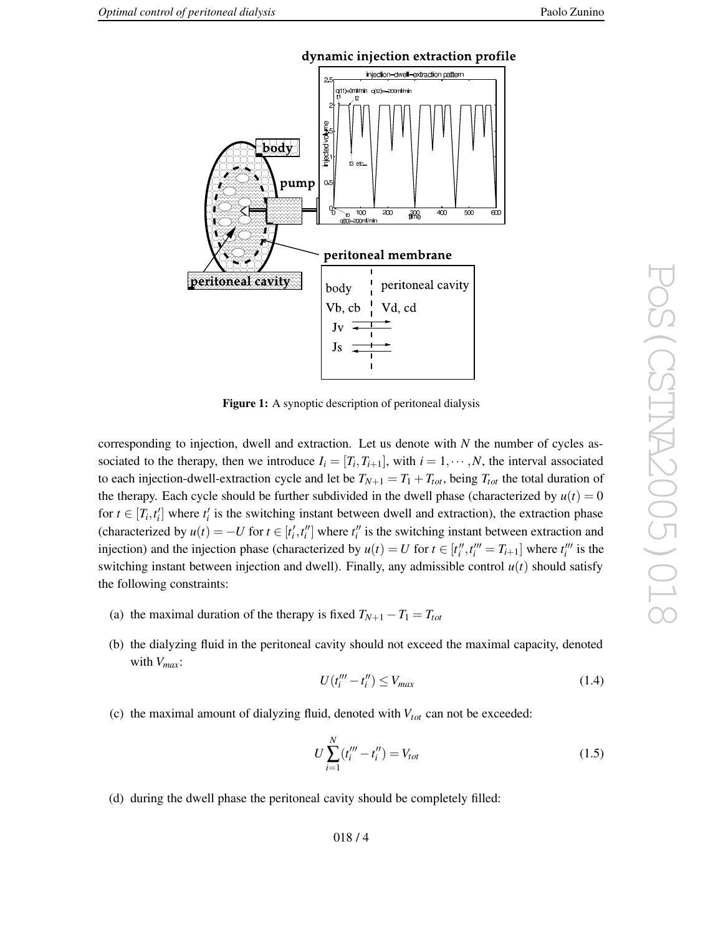



**Figur e 1:** A synoptic description of peritoneal dialysis

corresponding to injection, dwell and extraction. Let us denote with N the number of cycles associated to the therapy, then we introduce  $I_i = [T_i, T_{i+1}]$ , with  $i = 1, \dots, N$ , the interval associated to each injection-dwell-extraction cycle and let be  $T_{N+1} = T_1 + T_{tot}$ , being  $T_{tot}$  the total duration of the therapy. Each cycle should be further subdivided in the dwell phase (characterized by  $u(t) = 0$ for  $t \in [T_i, t'_i]$  where  $t'_i$  is the switching instant between dwell and extraction), the extraction phase 0*i* 0*i* (characterized by  $u(t) = -U$  for  $t \in [t'_i, t''_i]$  where  $t''_i$  is the switching instant between extraction and injection) and the injection phase (characterized by  $u(t) = U$  for  $t \in [t''_i, t'''_i = T_{i+1}]$  where  $t'''_i$  is the switching instant between injection and dwell). Finally, any admissible control  $u(t)$  should satisfy the following constraints:

- (a) the maximal duration of the therapy is fixed  $T_{N+1} T_1 = T_{tot}$
- (b) the dialyzing fluid in the peritoneal cavity should not exceed the maximal capacity , denoted with  $V_{max}$ :

$$
U(t_i''' - t_i'') \le V_{max} \tag{1.4}
$$

(c) the maximal amount of dialyzing fluid, denoted with  $V_{tot}$  can not be exceeded:

$$
U\sum_{i=1}^{N} (t_i''' - t_i'') = V_{tot}
$$
\n(1.5)

(d) during the dwell phase the peritoneal cavity should be completely filled: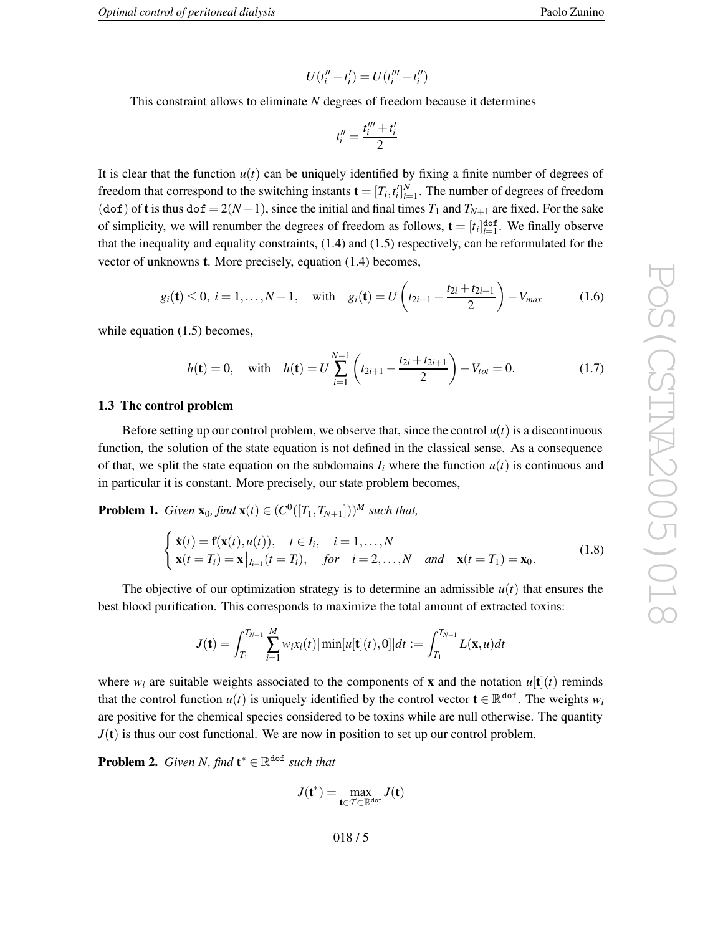This constraint allows to eliminate *N* degrees of freedom because it determines

$$
t_i''=\frac{t_i'''+t_i'}{2}
$$

It is clear that the function  $u(t)$  can be uniquely identified by fixing a finite number of degrees of freedom that correspond to the switching instants  $\mathbf{t} = [T_i, t_i']_{i=1}^N$ . The number of degrees of freedom 0*i* (dof) of **t** is thus dof =  $2(N-1)$ , since the initial and final times  $T_1$  and  $T_{N+1}$  are fixed. For the sake of simplicity, we will renumber the degrees of freedom as follows,  $\mathbf{t} = [t_i]_{i=1}^{dof}$  $_{i=1}^{\text{dof}}$ . We finally observe that the inequality and equality constraints, (1.4) and (1.5) respectively, can be reformulated for the vector of unknowns **t** . More precisely , equation (1.4) becomes,

$$
g_i(\mathbf{t}) \leq 0, i = 1,..., N-1
$$
, with  $g_i(\mathbf{t}) = U\left(t_{2i+1} - \frac{t_{2i} + t_{2i+1}}{2}\right) - V_{max}$  (1.6)

while equation (1.5) becomes,

$$
h(\mathbf{t}) = 0, \quad \text{with} \quad h(\mathbf{t}) = U \sum_{i=1}^{N-1} \left( t_{2i+1} - \frac{t_{2i} + t_{2i+1}}{2} \right) - V_{tot} = 0. \tag{1.7}
$$

## **1.3 The control problem**

Before setting up our control problem, we observe that, since the control  $u(t)$  is a discontinuous function, the solution of the state equation is not defined in the classical sense. As a consequence of that, we split the state equation on the subdomains  $I_i$  where the function  $u(t)$  is continuous and in particular it is constant. More precisely , our state problem becomes,

**Problem 1.** *Given*  $\mathbf{x}_0$ *, find*  $\mathbf{x}(t) \in (C^0([T_1, T_{N+1}]))^M$  *such that,* 

$$
\begin{cases} \dot{\mathbf{x}}(t) = \mathbf{f}(\mathbf{x}(t), u(t)), \quad t \in I_i, \quad i = 1, ..., N \\ \mathbf{x}(t = T_i) = \mathbf{x}|_{I_{i-1}}(t = T_i), \quad \text{for} \quad i = 2, ..., N \quad \text{and} \quad \mathbf{x}(t = T_1) = \mathbf{x}_0. \end{cases}
$$
(1.8)

The objective of our optimization strategy is to determine an admissible  $u(t)$  that ensures the best blood purification. This corresponds to maximize the total amount of extracted toxins:

$$
J(\mathbf{t}) = \int_{T_1}^{T_{N+1}} \sum_{i=1}^{M} w_i x_i(t) |\min[u[\mathbf{t}](t), 0]| dt := \int_{T_1}^{T_{N+1}} L(\mathbf{x}, u) dt
$$

where  $w_i$  are suitable weights associated to the components of **x** and the notation  $u[\mathbf{t}](t)$  reminds that the control function  $u(t)$  is uniquely identified by the control vector  $\mathbf{t} \in \mathbb{R}^{d \circ f}$ . The weights  $w_i$ are positi v e for the chemical species considered to be toxins while are null otherwise. The quantity  $J(t)$  is thus our cost functional. We are now in position to set up our control problem.

**Problem 2.** *Given N, find*  $\mathbf{t}^* \in \mathbb{R}^{d \circ f}$  *such that* 

$$
J(\mathbf{t}^*) = \max_{\mathbf{t} \in \mathcal{T} \subset \mathbb{R}^{\text{dof}}} J(\mathbf{t})
$$

018 / 5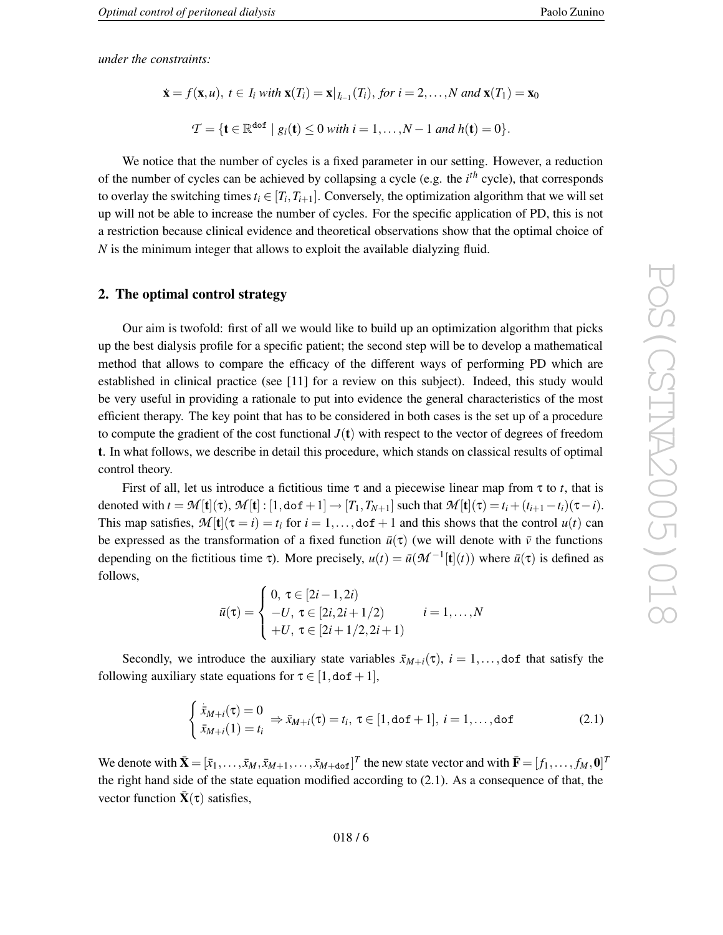*under the constraints:*

$$
\dot{\mathbf{x}} = f(\mathbf{x}, u), t \in I_i \text{ with } \mathbf{x}(T_i) = \mathbf{x}|_{I_{i-1}}(T_i), \text{ for } i = 2, ..., N \text{ and } \mathbf{x}(T_1) = \mathbf{x}_0
$$
\n
$$
\mathcal{T} = \{ \mathbf{t} \in \mathbb{R}^{\text{dof}} \mid g_i(\mathbf{t}) \le 0 \text{ with } i = 1, ..., N - 1 \text{ and } h(\mathbf{t}) = 0 \}.
$$

We notice that the number of cycles is a fixed parameter in our setting. However, a reduction of the number of cycles can be achie ved by collapsing a cycle (e.g. the *i t h* cycle), that corresponds to overlay the switching times  $t_i \in [T_i, T_{i+1}]$ . Conversely, the optimization algorithm that we will set up will not be able to increase the number of cycles. For the specific application of PD, this is not a restriction because clinical evidence and theoretical observations sho w that the optimal choice of *N* is the minimum integer that allows to exploit the available dialyzing fluid.

#### **2. The optimal control strategy**

Our aim is twofold: first of all we would lik e to build up an optimization algorithm that picks up the best dialysis profile for a specific patient; the second step will be to de velop a mathematical method that allows to compare the efficac y of the different ways of performing PD which are established in clinical practice (see [11 ] for a revie w on this subject). Indeed, this study would be very useful in providing a rationale to put into evidence the general characteristics of the most efficient therapy. The key point that has to be considered in both cases is the set up of a procedure to compute the gradient of the cost functional  $J(t)$  with respect to the vector of degrees of freedom **t** . In what follows, we describe in detail this procedure, which stands on classical results of optimal control theory .

First of all, let us introduce a fictitious time  $\tau$  and a piecewise linear map from  $\tau$  to t, that is denoted with  $t = \mathcal{M}[\mathbf{t}](\tau)$ ,  $\mathcal{M}[\mathbf{t}]: [1, d \circ \mathbf{f} + 1] \to [T_1, T_{N+1}]$  such that  $\mathcal{M}[\mathbf{t}](\tau) = t_i + (t_{i+1} - t_i)(\tau - i)$ . This map satisfies,  $\mathcal{M}[\mathbf{t}](\tau=i) = t_i$  for  $i = 1, ...,$  dof + 1 and this shows that the control  $u(t)$  can be expressed as the transformation of a fixed function  $\bar{u}(\tau)$  (we will denote with  $\bar{v}$  the functions depending on the fictitious time  $\tau$ ). More precisely,  $u(t) = \bar{u}(\mathcal{M}^{-1}[\mathbf{t}](t))$  where  $\bar{u}(\tau)$  is defined as follows,

$$
\bar{u}(\tau) = \begin{cases}\n0, \ \tau \in [2i - 1, 2i) \\
-U, \ \tau \in [2i, 2i + 1/2) \\
+U, \ \tau \in [2i + 1/2, 2i + 1)\n\end{cases} \quad i = 1, \dots, N
$$

Secondly, we introduce the auxiliary state variables  $\bar{x}_{M+i}(\tau)$ ,  $i = 1,...,$  dof that satisfy the following auxiliary state equations for  $\tau \in [1, dof + 1]$ ,

$$
\begin{cases} \n\dot{\bar{x}}_{M+i}(\tau) = 0\\ \n\bar{x}_{M+i}(1) = t_i \n\end{cases} \Rightarrow \bar{x}_{M+i}(\tau) = t_i, \ \tau \in [1, \text{dof } +1], \ i = 1, \dots, \text{dof} \n\tag{2.1}
$$

We denote with  $\bar{\mathbf{X}} = [\bar{x}_1, \dots, \bar{x}_M, \bar{x}_{M+1}, \dots, \bar{x}_{M+\text{dof}}]^T$  the new state vector and with  $\bar{\mathbf{F}} = [f_1, \dots, f_M, \mathbf{0}]^T$ the right hand side of the state equation modified according to (2.1) . As a consequence of that, the vector function  $\bar{\mathbf{X}}(\tau)$  satisfies,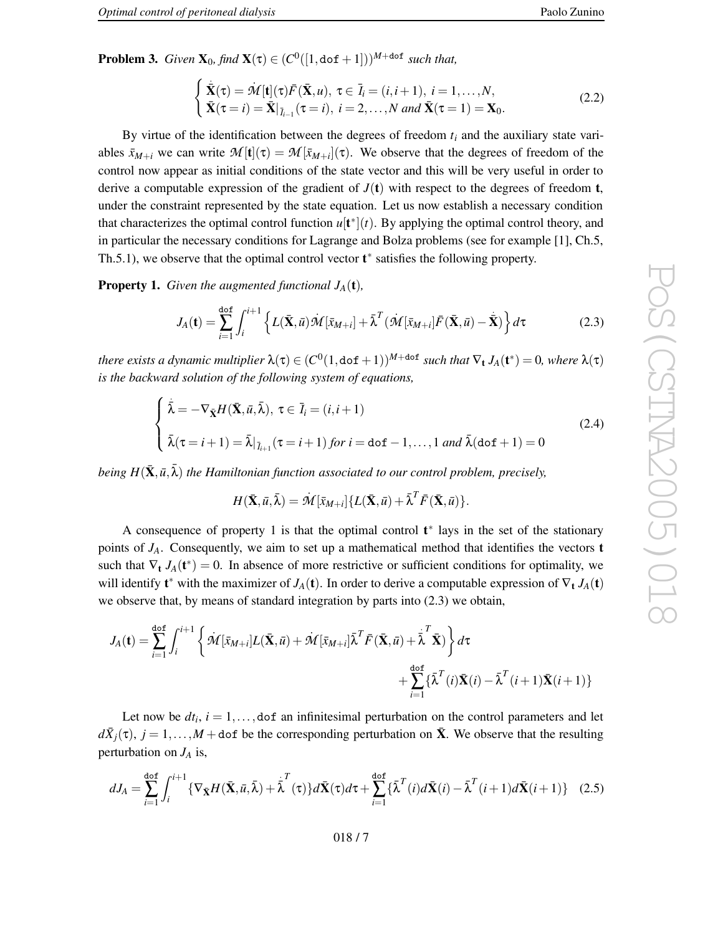**Problem 3.** *Given*  $X_0$ *, find*  $X(\tau) \in (C^0([1, dof + 1]))^{M + dof}$  *such that,* 

$$
\begin{cases} \dot{\overline{\mathbf{X}}}(\tau) = \dot{\mathbf{M}}[\mathbf{t}](\tau)\bar{F}(\overline{\mathbf{X}},u), \ \tau \in \overline{I}_i = (i,i+1), \ i = 1,\dots,N, \\ \n\overline{\mathbf{X}}(\tau = i) = \overline{\mathbf{X}}|_{\overline{I}_{i-1}}(\tau = i), \ i = 2,\dots,N \ and \ \overline{\mathbf{X}}(\tau = 1) = \mathbf{X}_0. \n\end{cases} \tag{2.2}
$$

By virtue of the identification between the degrees of freedom  $t_i$  and the auxiliary state variables  $\bar{x}_{M+i}$  we can write  $\mathcal{M}[\mathbf{t}](\tau) = \mathcal{M}[\bar{x}_{M+i}](\tau)$ . We observe that the degrees of freedom of the control no w appear as initial conditions of the state vector and this will be very useful in order to derive a computable expression of the gradient of  $J(t)$  with respect to the degrees of freedom **t**, under the constraint represented by the state equation. Let us no w establish a necessary condition that characterizes the optimal control function  $u[t^*](t)$ . By applying the optimal control theory, and in particular the necessary conditions for Lagrange and Bolza problems (see for example [1], Ch.5, Th.5.1), we observe that the optimal control vector  $t^*$  satisfies the following property.

**Property 1.** *Given the augmented functional*  $J_A(t)$ ,

$$
J_A(\mathbf{t}) = \sum_{i=1}^{\text{dof}} \int_i^{i+1} \left\{ L(\bar{\mathbf{X}}, \bar{u}) \mathcal{M}[\bar{x}_{M+i}] + \bar{\lambda}^T (\mathcal{M}[\bar{x}_{M+i}] \bar{F}(\bar{\mathbf{X}}, \bar{u}) - \bar{\mathbf{X}}) \right\} d\tau
$$
(2.3)

there exists a dynamic multiplier  $\lambda(\tau) \in (C^0(1,\texttt{dof}+1))^{M+\texttt{dof}}$  such that  $\nabla_{\bf t} J_A({\bf t}^*) = 0$ , where  $\lambda(\tau)$ *is the backward solution of the following system of equations,*

$$
\begin{cases} \n\dot{\overline{\lambda}} = -\nabla_{\tilde{\mathbf{X}}} H(\bar{\mathbf{X}}, \bar{u}, \bar{\lambda}), \ \tau \in \overline{I}_i = (i, i+1) \\
\tilde{\lambda}(\tau = i+1) = \bar{\lambda}|_{\overline{I}_{i+1}}(\tau = i+1) \text{ for } i = \text{dof} - 1, \dots, 1 \text{ and } \bar{\lambda}(\text{dof} + 1) = 0\n\end{cases}
$$
\n(2.4)

 $b$ eing  $H(\bar{\mathbf{X}}, \bar{u}, \bar{\lambda})$  the Hamiltonian function associated to our control problem, precisely,

$$
H(\bar{\mathbf{X}},\bar{u},\bar{\lambda}) = \dot{\mathcal{M}}[\bar{x}_{M+i}]\{L(\bar{\mathbf{X}},\bar{u})+\bar{\lambda}^T\bar{F}(\bar{\mathbf{X}},\bar{u})\}.
$$

A consequence of property 1 is that the optimal control **t** ∗ lays in the set of the stationary points of  $J_A$ . Consequently, we aim to set up a mathematical method that identifies the vectors **t** such that  $\nabla_t J_A(t^*) = 0$ . In absence of more restrictive or sufficient conditions for optimality, we will identify  $t^*$  with the maximizer of  $J_A(t)$ . In order to derive a computable expression of  $\nabla_t J_A(t)$ we observ e that, by means of standard integration by parts into (2.3) we obtain,

$$
J_A(\mathbf{t}) = \sum_{i=1}^{\text{dof}} \int_i^{i+1} \left\{ \dot{\mathcal{M}}[\bar{x}_{M+i}] L(\bar{\mathbf{X}}, \bar{u}) + \dot{\mathcal{M}}[\bar{x}_{M+i}] \bar{\lambda}^T \bar{F} (\bar{\mathbf{X}}, \bar{u}) + \bar{\bar{\lambda}}^T \bar{\mathbf{X}} \right\} d\tau + \sum_{i=1}^{\text{dof}} \{ \bar{\lambda}^T(i) \bar{\mathbf{X}}(i) - \bar{\lambda}^T(i+1) \bar{\mathbf{X}}(i+1) \}
$$

Let now be  $dt_i$ ,  $i = 1, \ldots,$  dof an infinitesimal perturbation on the control parameters and let  $d\bar{X}_j(\tau)$ ,  $j = 1, ..., M +$  dof be the corresponding perturbation on  $\bar{X}$ . We observe that the resulting perturbation on *J<sup>A</sup>* is,

$$
dJ_A = \sum_{i=1}^{\text{dof}} \int_i^{i+1} \{ \nabla_{\bar{\mathbf{X}}} H(\bar{\mathbf{X}}, \bar{u}, \bar{\lambda}) + \bar{\bar{\lambda}}^T(\tau) \} d\bar{\mathbf{X}}(\tau) d\tau + \sum_{i=1}^{\text{dof}} \{ \bar{\lambda}^T(i) d\bar{\mathbf{X}}(i) - \bar{\lambda}^T(i+1) d\bar{\mathbf{X}}(i+1) \} \quad (2.5)
$$

018 / 7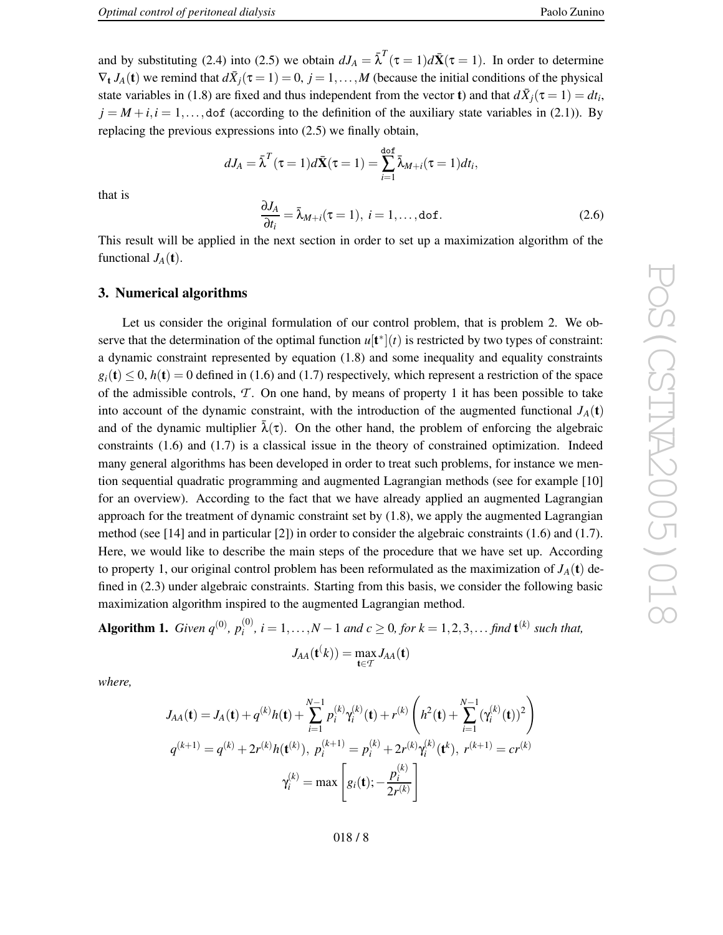and by substituting (2.4) into (2.5) we obtain  $dJ_A = \overline{\lambda}^T(\tau = 1)d\overline{\mathbf{X}}(\tau = 1)$ . In order to determine  $\nabla_t J_A(t)$  we remind that  $d\bar{X}_j(\tau=1)=0$ ,  $j=1,\ldots,M$  (because the initial conditions of the physical state variables in (1.8) are fixed and thus independent from the vector **t**) and that  $d\bar{X}_j(\tau = 1) = dt_i$ ,  $j = M + i, i = 1, \ldots,$  dof (according to the definition of the auxiliary state variables in (2.1)). By replacing the previous expressions into (2.5) we finally obtain,

$$
dJ_A = \bar{\lambda}^T(\tau = 1)d\bar{\mathbf{X}}(\tau = 1) = \sum_{i=1}^{\text{dof}} \bar{\lambda}_{M+i}(\tau = 1)dt_i,
$$

$$
\frac{\partial J_A}{\partial t_i} = \bar{\lambda}_{M+i}(\tau = 1), \ i = 1, \dots, \text{dof.}
$$
(2.6)

that is

This result will be applied in the next section in order to set up a maximization algorithm of the functional  $J_A(\mathbf{t})$ .

#### **3. Numerical algorithms**

Let us consider the original formulation of our control problem, that is problem 2. We observe that the determination of the optimal function  $u[t^*](t)$  is restricted by two types of constraint: a dynamic constraint represented by equation (1.8) and some inequality and equality constraints  $g_i(\mathbf{t}) \leq 0$ ,  $h(\mathbf{t}) = 0$  defined in (1.6) and (1.7) respectively, which represent a restriction of the space of the admissible controls, *T* . On one hand, by means of property 1 it has been possible to tak e into account of the dynamic constraint, with the introduction of the augmented functional  $J_A(t)$ and of the dynamic multiplier  $\bar{\lambda}(\tau)$ . On the other hand, the problem of enforcing the algebraic constraints (1.6) and (1.7) is a classical issue in the theory of constrained optimization. Indeed man y general algorithms has been de veloped in order to treat such problems, for instance we mention sequential quadratic programming and augmented Lagrangian methods (see for example [10] for an overview). According to the fact that we have already applied an augmented Lagrangian approach for the treatment of dynamic constraint set by (1.8) , we apply the augmented Lagrangian method (see [14 ] and in particular [2]) in order to consider the algebraic constraints (1.6) and (1.7) . Here, we would like to describe the main steps of the procedure that we have set up. According to property 1, our original control problem has been reformulated as the maximization of  $J_A(t)$  defined in (2.3) under algebraic constraints. Starting from this basis, we consider the following basic maximization algorithm inspired to the augmented Lagrangian method.

**Algorithm 1.** *Given*  $q^{(0)}$ *,*  $p_i^{(0)}$  $a_i^{(0)}$ ,  $i = 1, ..., N-1$  and  $c \ge 0$ , for  $k = 1, 2, 3, ...$  find  $\mathbf{t}^{(k)}$  such that,

$$
J_{AA}(\mathbf{t}^{(k)}) = \max_{\mathbf{t} \in \mathcal{T}} J_{AA}(\mathbf{t})
$$

*where ,*

$$
J_{AA}(\mathbf{t}) = J_A(\mathbf{t}) + q^{(k)}h(\mathbf{t}) + \sum_{i=1}^{N-1} p_i^{(k)}\gamma_i^{(k)}(\mathbf{t}) + r^{(k)} \left(h^2(\mathbf{t}) + \sum_{i=1}^{N-1} (\gamma_i^{(k)}(\mathbf{t}))^2\right)
$$
  

$$
q^{(k+1)} = q^{(k)} + 2r^{(k)}h(\mathbf{t}^{(k)}), \ p_i^{(k+1)} = p_i^{(k)} + 2r^{(k)}\gamma_i^{(k)}(\mathbf{t}^{(k)}, r^{(k+1)} = cr^{(k)}
$$
  

$$
\gamma_i^{(k)} = \max \left[g_i(\mathbf{t}); -\frac{p_i^{(k)}}{2r^{(k)}}\right]
$$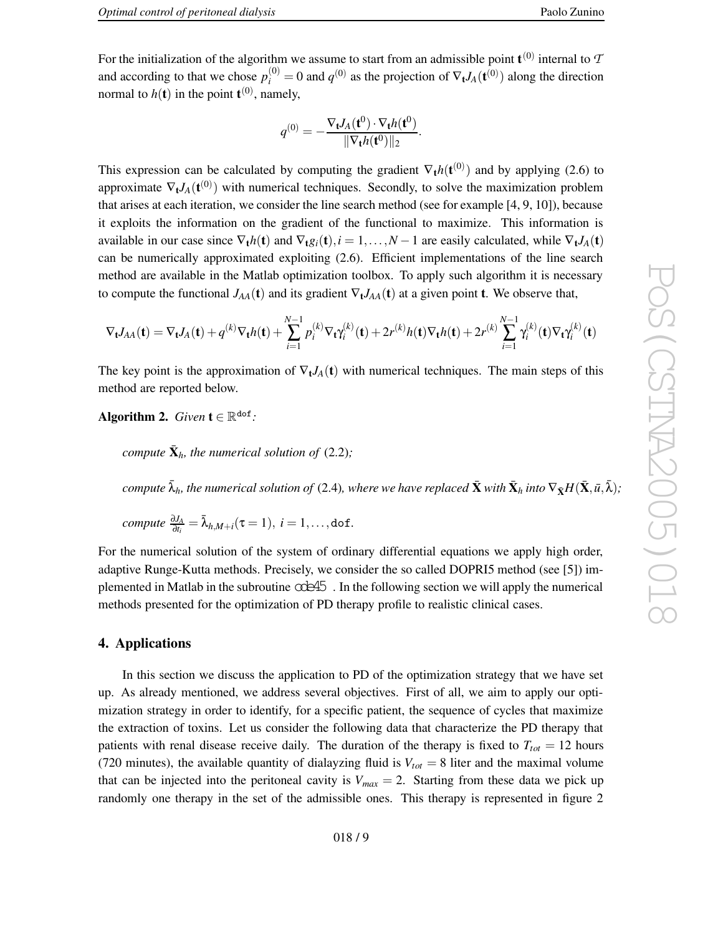For the initialization of the algorithm we assume to start from an admissible point  $\mathbf{t}^{(0)}$  internal to  $\mathcal I$ and according to that we chose  $p_i^{(0)}$  $g_i^{(0)} = 0$  and  $q^{(0)}$  as the projection of  $\nabla_t J_A(\mathbf{t}^{(0)})$  along the direction normal to  $h(t)$  in the point  $t^{(0)}$ , namely,

$$
q^{(0)} = -\frac{\nabla_{\mathbf{t}}J_A(\mathbf{t}^0) \cdot \nabla_{\mathbf{t}}h(\mathbf{t}^0)}{\|\nabla_{\mathbf{t}}h(\mathbf{t}^0)\|_2}.
$$

This expression can be calculated by computing the gradient  $\nabla_t h(\mathbf{t}^{(0)})$  and by applying (2.6) to approximate  $\nabla_t J_A(t^{(0)})$  with numerical techniques. Secondly, to solve the maximization problem that arises at each iteration, we consider the line search method (see for example [4 , 9 , 10]), because it exploits the information on the gradient of the functional to maximize. This information is available in our case since  $\nabla_t h(t)$  and  $\nabla_t g_i(t)$ ,  $i = 1, ..., N-1$  are easily calculated, while  $\nabla_t J_A(t)$ can be numerically approximated exploiting (2.6) . Efficient implementations of the line search method are available in the Matlab optimization toolbox. To apply such algorithm it is necessary to compute the functional  $J_{AA}(\mathbf{t})$  and its gradient  $\nabla_{\mathbf{t}} J_{AA}(\mathbf{t})$  at a given point **t**. We observe that,

$$
\nabla_{\mathbf{t}}J_{AA}(\mathbf{t}) = \nabla_{\mathbf{t}}J_A(\mathbf{t}) + q^{(k)}\nabla_{\mathbf{t}}h(\mathbf{t}) + \sum_{i=1}^{N-1} p_i^{(k)}\nabla_{\mathbf{t}}\gamma_i^{(k)}(\mathbf{t}) + 2r^{(k)}h(\mathbf{t})\nabla_{\mathbf{t}}h(\mathbf{t}) + 2r^{(k)}\sum_{i=1}^{N-1} \gamma_i^{(k)}(\mathbf{t})\nabla_{\mathbf{t}}\gamma_i^{(k)}(\mathbf{t})
$$

The key point is the approximation of  $\nabla_t J_A(t)$  with numerical techniques. The main steps of this method are reported belo w .

**Algorithm 2.** *Given*  $\mathbf{t} \in \mathbb{R}^{d \circ f}$ :

*compute*  $\bar{\mathbf{X}}_h$ *, the numerical solution of* (2.2);

compute  $\bar\lambda_h$ , the numerical solution of (2.4), where we have replaced  $\bar{\bf X}$  with  $\bar{\bf X}_h$  into  $\nabla_{\bar{\bf X}}H(\bar{\bf X},\bar{u},\bar{\lambda});$ 

$$
compute \frac{\partial J_A}{\partial t_i} = \bar{\lambda}_{h,M+i}(\tau = 1), i = 1,\ldots, \text{dof.}
$$

For the numerical solution of the system of ordinary differential equations we apply high order, adapti v e Runge-Kutta methods. Precisely , we consider the so called DOPRI5 method (see [5]) implemented in Matlab in the subroutine  $\alpha$  $\geq 45$ . In the following section we will apply the numerical methods presented for the optimization of PD therap y profile to realistic clinical cases.

### **4. Applications**

In this section we discuss the application to PD of the optimization strategy that we hav e set up. As already mentioned, we address se veral objecti ves. First of all, we aim to apply our optimization strategy in order to identify, for a specific patient, the sequence of cycles that maximize the extraction of toxins. Let us consider the following data that characterize the PD therapy that patients with renal disease receive daily. The duration of the therapy is fixed to  $T_{tot} = 12$  hours (720 minutes), the available quantity of dialayzing fluid is  $V_{tot} = 8$  liter and the maximal volume that can be injected into the peritoneal cavity is  $V_{max} = 2$ . Starting from these data we pick up randomly one therapy in the set of the admissible ones. This therapy is represented in figure 2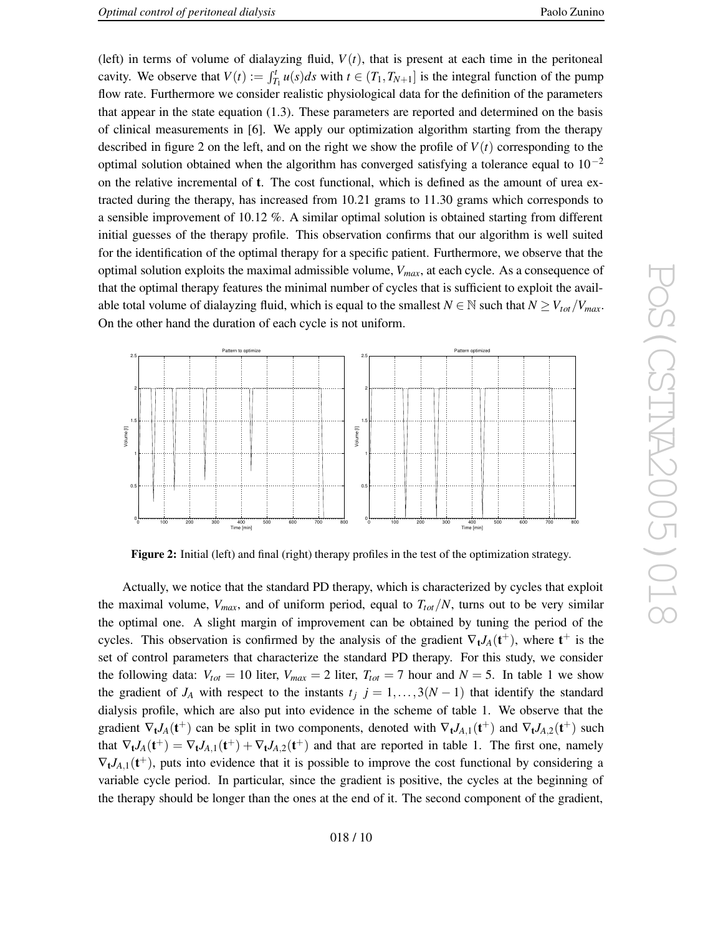Paolo Zunino

(left) in terms of volume of dialayzing fluid,  $V(t)$ , that is present at each time in the peritoneal cavity. We observe that  $V(t) := \int_{T_1}^t u(s)ds$  with  $t \in (T_1, T_{N+1}]$  is the integral function of the pump flow rate. Furthermore we consider realistic physiological data for the definition of the parameters that appear in the state equation (1.3) . These parameters are reported and determined on the basis of clinical measurements in [6]. We apply our optimization algorithm starting from the therapy described in figure 2 on the left, and on the right we sho w the profile of *V* ( *t* ) corresponding to the optimal solution obtained when the algorithm has converged satisfying a tolerance equal to  $10^{-2}$ on the relative incremental of **t**. The cost functional, which is defined as the amount of urea extracted during the therapy, has increased from 10.21 grams to 11.30 grams which corresponds to a sensible improvement of 10.12 %. A similar optimal solution is obtained starting from different initial guesses of the therap y profile. This observation confirms that our algorithm is well suited for the identification of the optimal therapy for a specific patient. Furthermore, we observe that the optimal solution exploits the maximal admissible volume, *Vmax* , at each cycle. As a consequence of that the optimal therap y features the minimal number of cycles that is sufficient to exploit the available total volume of dialayzing fluid, which is equal to the smallest  $N \in \mathbb{N}$  such that  $N \geq V_{tot}/V_{max}$ . On the other hand the duration of each cycle is not uniform.



**Figure 2:** Initial (left) and final (right) therapy profiles in the test of the optimization strategy.

Actually , we notice that the standard PD therap y , which is characterized by cycles that exploit the maximal volume,  $V_{max}$ , and of uniform period, equal to  $T_{tot}/N$ , turns out to be very similar the optimal one. A slight margin of impro vement can be obtained by tuning the period of the cycles. This observation is confirmed by the analysis of the gradient  $\nabla_t J_A(t^+)$ , where  $t^+$  is the set of control parameters that characterize the standard PD therapy. For this study, we consider the following data:  $V_{tot} = 10$  liter,  $V_{max} = 2$  liter,  $T_{tot} = 7$  hour and  $N = 5$ . In table 1 we show the gradient of  $J_A$  with respect to the instants  $t_j$   $j = 1, ..., 3(N-1)$  that identify the standard dialysis profile, which are also put into evidence in the scheme of table 1. We observe that the gradient  $\nabla_t J_A(t^+)$  can be split in two components, denoted with  $\nabla_t J_{A,1}(t^+)$  and  $\nabla_t J_{A,2}(t^+)$  such that  $\nabla_{t}J_{A}(t^{+}) = \nabla_{t}J_{A,1}(t^{+}) + \nabla_{t}J_{A,2}(t^{+})$  and that are reported in table 1. The first one, namely  $\nabla_t J_{A,1}(t^+)$ , puts into evidence that it is possible to improve the cost functional by considering a variable cycle period. In particular, since the gradient is positive, the cycles at the beginning of the therap y should be longer than the ones at the end of it. The second component of the gradient,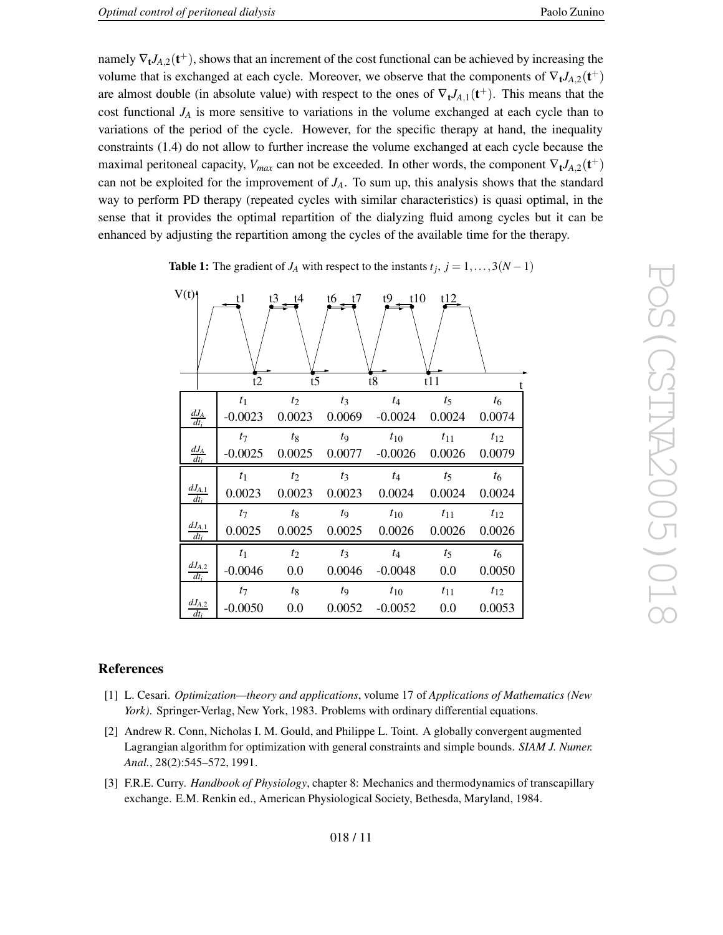namely  $\nabla_t J_{A,2}(t^+)$ , shows that an increment of the cost functional can be achieved by increasing the volume that is exchanged at each cycle. Moreover, we observe that the components of  $\nabla_{t} J_{A,2}(t^{+})$ are almost double (in absolute value) with respect to the ones of  $\nabla_t J_{A,1}(t^+)$ . This means that the cost functional  $J_A$  is more sensitive to variations in the volume exchanged at each cycle than to variations of the period of the cycle. However, for the specific therapy at hand, the inequality constraints (1.4) do not allo w to further increase the volume exchanged at each cycle because the maximal peritoneal capacity,  $V_{max}$  can not be exceeded. In other words, the component  $\nabla_t J_{A,2}(\mathbf{t}^+)$ can not be exploited for the improvement of  $J_A$ . To sum up, this analysis shows that the standard way to perform PD therap y (repeated cycles with similar characteristics) is quasi optimal, in the sense that it provides the optimal repartition of the dialyzing fluid among cycles but it can be enhanced by adjusting the repartition among the cycles of the available time for the therapy.

**Table 1:** The gradient of  $J_A$  with respect to the instants  $t_j$ ,  $j = 1, ..., 3(N - 1)$ 

| V(t)<br>$t3$ $t4$<br>$t6$ $t7$<br>$t9 - t10$<br>t1<br>t12 |                         |                |        |             |                                                         |          |          |
|-----------------------------------------------------------|-------------------------|----------------|--------|-------------|---------------------------------------------------------|----------|----------|
|                                                           |                         | t2             | t5     |             | t8                                                      | t11      |          |
|                                                           |                         | t <sub>1</sub> | $t_2$  | $t_3$       | $t_4$                                                   | $t_5$    | $t_6$    |
|                                                           | $\frac{dJ_A}{dt_i}$     | $-0.0023$      |        |             | $0.0023$ $0.0069$ $-0.0024$ $0.0024$                    |          | 0.0074   |
|                                                           |                         | $t_7$          | $t_8$  | $t_{9}$     | $t_{10}$                                                | $t_{11}$ | $t_{12}$ |
|                                                           | $\frac{dJ_A}{dt_i}$     |                |        |             | $-0.0025$ $0.0025$ $0.0077$ $-0.0026$ $0.0026$ $0.0079$ |          |          |
|                                                           |                         | $t_1$          | $t_2$  | $t_3$       | $t_4$                                                   | $t_5$    | $t_{6}$  |
|                                                           | $\frac{dJ_{A,1}}{dt_i}$ | 0.0023         | 0.0023 |             | $0.0023$ 0.0024                                         | 0.0024   | 0.0024   |
|                                                           |                         | $t_7$          | $t_8$  | $t_{\rm 9}$ | $t_{10}$                                                | $t_{11}$ | $t_{12}$ |
|                                                           | $\frac{dJ_{A,1}}{dt_i}$ | 0.0025         | 0.0025 |             | $0.0025$ 0.0026                                         | 0.0026   | 0.0026   |
|                                                           |                         | t <sub>1</sub> | $t_2$  | $t_3$       | $t_4$                                                   | $t_5$    | $t_6$    |
|                                                           | $\frac{dJ_{A,2}}{dt_i}$ | $-0.0046$      | 0.0    | 0.0046      | $-0.0048$                                               | 0.0      | 0.0050   |
|                                                           |                         | $t_7$          | $t_8$  | $t_{9}$     | $t_{10}$                                                | $t_{11}$ | $t_{12}$ |
|                                                           | $\frac{dJ_{A,2}}{dt_i}$ | $-0.0050$      | 0.0    | 0.0052      | $-0.0052$                                               | 0.0      | 0.0053   |

# **References**

- [1] L. Cesari. *Optimization—theory and applications* , volume 17 of *Applications of Mathematics (Ne w* York). Springer-Verlag, New York, 1983. Problems with ordinary differential equations.
- [2] Andre w R. Conn, Nicholas I. M. Gould, and Philippe L. Toint. A globally con vergent augmented Lagrangian algorithm for optimization with general constraints and simple bounds. *SIAM J. Numer. Anal.* , 28(2):545–572, 1991.
- [3] F.R.E. Curry . *Handbook of Physiology* , chapter 8: Mechanics and thermodynamics of transcapillary exchange. E.M. Renkin ed., American Physiological Society , Bethesda, Maryland, 1984.

t